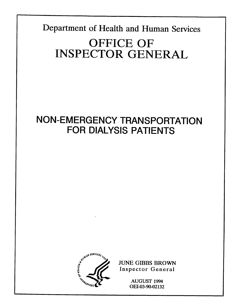Department of Health and Human Services **OFFICE OF INSPECTOR GENERAL** 

# **NON-EMERGENCY TRANSPORTATION FOR DIALYSIS PATIENTS**



**JUNE GIBBS BROWN Inspector General** 

> AUGUST 1994 OEI-03-90-02132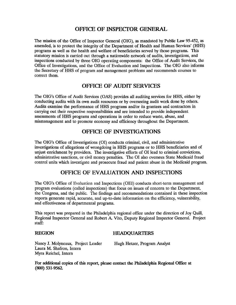#### **OFFICE OF INSPECTOR GENERAL**

The mission of the Office of Inspector General (OIG), as mandated by Public Law 95-452, as amended, is to protect the integrity of the Department of Health and Human Services' (HHS) programs as well as the health and welfare of beneficiaries served by those programs. This statutory mission is carried out through a nationwide network of audits, investigations, and inspections conducted by three OIG operating components: the Office of Audit Services, the Office of Investigations, and the Office of Evaluation and Inspections. The OIG also informs the Secretary of HHS of program and management problems and recommends courses to correct them.

#### **OFFICE OF AUDIT SERVICES**

The OIG's Office of Audit Services (OAS) provides all auditing services for HHS, either by conducting audits with its own audit resources or by overseeing audit work done by others. Audits examine the performance of HHS programs and/or its grantees and contractors in carrying out their respective responsibilities and are intended to provide independent assessments of HHS programs and operations in order to reduce waste, abuse, and mismanagement and to promote economy and efficiency throughout the Department.

### **OFFICE OF INVESTIGATIONS**

The OIG's Office of Investigations (OI) conducts criminal, civil, and administrative investigations of allegations of wrongdoing in HHS programs or to HHS beneficiaries and of unjust enrichment by providers. The investigative efforts of 01 lead to criminal convictions, administrative sanctions, or civil money penalties. The 01 also oversees State Medicaid fraud control units which investigate and prosecute fraud and patient abuse in the Medicaid program.

### **OFFICE OF EVALUATION AND INSPECITONS**

The OIG's Office of Evaluation and Inspections (OEI) conducts short-term management and program evaluations (called inspections) that focus on issues of concern to the Department, the Congress, and the public. The findings and recommendations contained in these inspection reports generate rapid, accurate, and up-to-date information on the efficiency, vulnerability, and effectiveness of departmental programs.

This report was prepared in the Philadelphia regional office under the direction of Joy Quill, Regional Inspector General and Robert A. Vito, Deputy Regional Inspector General. Project staff:

#### REGION HEADQUARTERS

Nancy J. Molyneaux, Project Leader Laura M. Shafron, Intern Myra Reichel, Intern

Hugh Hetzer, Program Analyst

For additional copies of this report, please contact the Philadelphia Regional Office at **(800) 531-9562**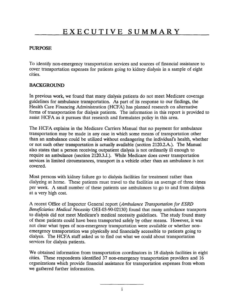#### PURPOSE

To identify non-emergency transportation services and sources of financial assistance to cover transportation expenses for patients going to kidney dialysis in a sample of eight cities.

#### BACKGROUND

In previous work, we found that many dialysis patients do not meet Medicare coverage guidelines for ambulance transportation. As part of its response to our findings, the Health Care Financing Administration (HCFA) has planned research on alternative forms of transportation for dialysis patients. The information in this report is provided to assist HCFA as it pursues that research and formulates policy in this area.

The HCFA explains in the Medicare Carriers Manual that no payment for ambulance transportation may be made in any case in which some means of transportation other than an ambulance could be utilized without endangering the individual's health, whether or not such other transportation is actually available (section 2120.2.A.). The Manual also states that a person receiving outpatient dialysis is not ordinarily ill enough to require an ambulance (section 2120.3.J.). While Medicare does cover transportation services in limited circumstances, transport in a vehicle other than an ambulance is not covered.

Most persons with kidney failure go to dialysis facilities for treatment rather than dialyzing at home. These patients must travel to the facilities an average of three times per week. A small number of these patients use ambulances to go to and from dialysis at a very high cost.

A recent Office of Inspector General report *(Ambulance Transpotiahon for ESRD Beneficiaries: Medical Necessity OEI-03-90-02130)* found that many ambulance transports to dialysis did not meet Medicare's medical necessity guidelines. The study found many of these patients could have been transported safely by other means. However, it was not clear what types of non-emergency transportation were available or whether nonemergency transportation was physically and financially accessible to patients going to dialysis. The HCFA staff asked us to find out what we could about transportation services for dialysis patients.

We obtained information from transportation coordinators in 18 dialysis facilities in eight cities. These respondents identified 37 non-emergency transportation providers and 16 organizations which provide financial assistance for transportation expenses from whom we gathered further information.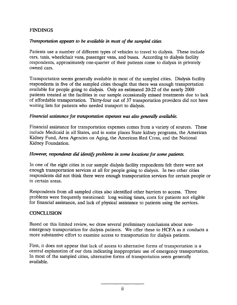#### FINDINGS

#### *Transportation appears to be available in most of the sampled cities.*

Patients use a number of different types of vehicles to travel to dialysis. These include cars, taxis, wheelchair vans, passenger vans, and buses. According to dialysis facility respondents, approximately one-quarter of their patients come to dialysis in privately owned cars.

Transportation seems generally available in most of the sampled cities. Dialysis facility respondents in five of the sampled cities thought that there was enough transportation available for people going to dialysis. Only an estimated 20-22 of the nearly 2000 patients treated at the facilities in our sample occasionally missed treatments due to lack of affordable transportation. Thirty-four out of 37 transportation providers did not have waiting lists for patients who needed transport to dialysis.

#### *Financial assistance for transportation expenses was also generally available.*

Financial assistance for transportation expenses comes from a variety of sources. These include Medicaid in all States, and in some places State kidney programs, the American Kidney Fund, Area Agencies on Aging, the American Red Cross, and the National Kidney Foundation.

#### *However, respondents did identify problems in some locations for some patients.*

In one of the eight cities in our sample dialysis facility respondents felt there were not enough transportation services at all for people going to dialysis. In two other cities respondents did not think there were enough transportation services for certain people or in certain areas.

Respondents from all sampled cities also identified other barriers to access. Three problems were frequently mentioned: long waiting times, costs for patients not eligible for financial assistance, and lack of physical assistance to patients using the services.

#### **CONCLUSION**

Based on this limited review, we draw several preliminary conclusions about nonemergency transportation for dialysis patients. We offer these to HCFA as it conducts a more substantive effort to examine access to transportation for dialysis patients.

First, it does not appear that lack of access to alternative forms of transportation is a central explanation of our data indicating inappropriate use of emergency transportation. In most of the sampled cities, alternative forms of transportation seem generally available.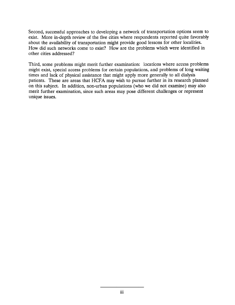Second, successful approaches to developing a network of transportation options seem to exist. More in-depth review of the five cities where respondents reported quite favorably about the availability of transportation might provide good lessons for other localities. How did such networks come to exist? How are the problems which were identified in other cities addressed?

Third, some problems might merit further examination: locations where access problems might exist, special access problems for certain populations, and problems of long waiting times and lack of physical assistance that might apply more generally to all dialysis patients. These are areas that HCFA may wish to pursue further in its research planned on this subject. In addition, non-urban populations (who we did not examine) may also merit further examination, since such areas may pose different challenges or represent unique issues.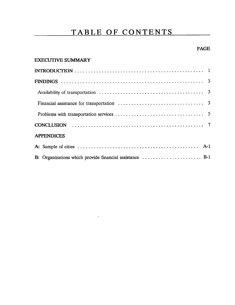### **TABLE OF CONTENTS**

#### PAGE

#### EXECUTIVE SUMMARY

 $\sim 10^{11}$ 

 $\mathbf{v}$  .

| <b>APPENDICES</b>                                                                               |  |
|-------------------------------------------------------------------------------------------------|--|
|                                                                                                 |  |
| B: Organizations which provide financial assistance $\dots \dots \dots \dots \dots \dots$ . B-1 |  |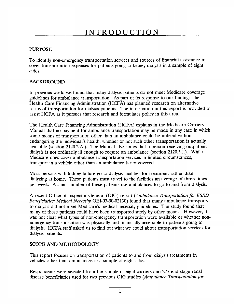#### PURPOSE

To identify non-emergency transportation services and sources of financial assistance to cover transportation expenses for patients going to kidney dialysis in a sample of eight cities.

#### BACKGROUND

In previous work, we found that many dialysis patients do not meet Medicare coverage guidelines for ambulance transportation. As part of its response to our findings, the Health Care Financing Administration (HCFA) has planned research on alternative forms of transportation for dialysis patients. The information in this report is provided to assist HCFA as it pursues that research and formulates policy in this area.

The Health Care Financing Administration (HCFA) explains in the Medicare Carriers Manual that no payment for ambulance transportation may be made in any case in which some means of transportation other than an ambulance could be utilized without endangering the individual's health, whether or not such other transportation is actually available (section 2120.2.A.). The Manual also states that a person receiving outpatien dialysis is not ordinarily ill enough to require an ambulance (section 2120.3 .J.). While Medicare does cover ambulance transportation services in limited circumstances, transport in a vehicle other than an ambulance is not covered.

Most persons with kidney failure go to dialysis facilities for treatment rather than dialyzing at home. These patients must travel to the facilities an average of three times per week. A small number of these patients use ambulances to go to and from dialysis.

A recent Office of Inspector General (OIG) report (Ambulance *Transpofiation for ESRD Beneficiaries: Medical Necessity* OEI-03-90-02130) found that many ambulance transport to dialysis did not meet Medicare's medical necessity guidelines. The study found that many of these patients could have been transported safely by other means. However, it was not clear what types of non-emergency transportation were available or whether non emergency transportation was physically and financially accessible to patients going to dialysis. HCFA staff asked us to find out what we could about transportation services for dialysis patients.

#### SCOPE AND METHODOLOGY

This report focuses on transportation of patients to and from dialysis treatments in vehicles other than ambulances in a sample of eight cities.

Respondents were selected from the sample of eight carriers and 277 end stage renal disease beneficiaries used for two previous OIG studies *(Ambulance Transpotialion for*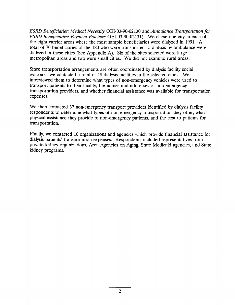*ESRD Beneficiaries: Medical Necessily OEI-03-90-02130* and *Ambulance Transpotiation for ESRD Beneficiaries: Payment Practices OEI-03-90-02131).* We chose one city in each of the eight carrier areas where the most sample beneficiaries were dialyzed in 1991. A total of 70 beneficiaries of the 180 who were transported to dialysis by ambulance were dialyzed in these cities (See Appendix A). Six of the sites selected were large metropolitan areas and two were small cities. We did not examine rural areas.

Since transportation arrangements are often coordinated by dialysis facility social workers, we contacted a total of 18 dialysis facilities in the selected cities. We interviewed them to determine what types of non-emergency vehicles were used to transport patients to their facility, the names and addresses of non-emergency transportation providers, and whether financial assistance was available for transportation expenses.

We then contacted 37 non-emergency transport providers identified by dialysis facility respondents to determine what types of non-emergency transportation they offer, what physical assistance they provide to non-emergency patients, and the cost to patients for transportation.

Finally, we contacted 16 organizations and agencies which provide financial assistance for dialysis patients' transportation expenses. Respondents included representatives from private kidney organizations, Area Agencies on Aging, State Medicaid agencies, and State kidney programs.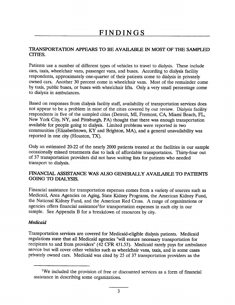### **FINDINGS**

#### **TRANSPORTATION APPEARS TO BE AVAILABLE IN MOST OF THE SAMPLED CITIES**

Patients use a number of different types of vehicles to travel to dialysis. These include cars, taxis, wheelchair vans, passenger vans, and buses. According to dialysis facility respondents, approximately one-quarter of their patients come to dialysis in privately owned cars. Another 30 percent come in wheelchair vans. Most of the remainder come by taxis, public buses, or buses with wheelchair lifts. Only a very small percentage come to dialysis in ambulances.

Based on responses from dialysis facility staff, availability of transportation services does not appear to be a problem in most of the cities covered by our review. Dialysis facility respondents in five of the sampled cities (Detroit, MI, Fremont, CA, Miami Beach, F. New York City, NY, and Pittsburgh, PA) thought that there was enough transportatio available for people going to dialysis. Limited problems were reported in two communities (Elizabethtown, KY and Brighton, MA), and a general unavailability was reported in one city (Houston, TX).

Only an estimated 20-22 of the nearly 2000 patients treated at the facilities in our sample occasionally missed treatments due to lack of affordable transportation. Thirty-four out of 37 transportation providers did not have waiting lists for patients who needed transport to dialysis.

#### **FINANCIAL ASSISTANCE WAS ALSO GENERALLY AVAILABLE TO PATIENTS GOING TO DIALYSIS.**

Financial assistance for transportation expenses comes from a variety of sources such as Medicaid, Area Agencies on Aging, State Kidney Programs, the American Kidney Fund, the National Kidney Fund, and the American Red Cross. A range of organizations or agencies offers financial assistance<sup>1</sup> for transportation expenses in each city in our sample. See Appendix B for a breakdown of resources by city.

#### *Medicaid*

Transportation services are covered for Medicaid-eligible dialysis patients. Medicaid regulations state that all Medicaid agencies "will ensure necessary transportation for recipients to and from providers" (42 CFR 431.53). Medicaid rarely pays for ambulance service but will cover other vehicles such as wheelchair vans, taxis, and in some cases privately owned cars. Medicaid was cited by 25 of 37 transportation providers as the

<sup>&</sup>lt;sup>1</sup>We included the provision of free or discounted services as a form of financial assistance in describing some organizations.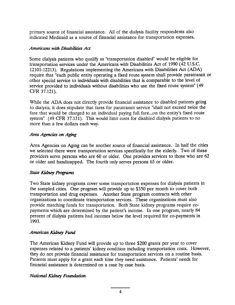primary source of financial assistance. All of the dialysis facility respondents also indicated Medicaid as a source of financial assistance for transportation expenses.

#### **Americans with Disabilities Act**

Some dialysis patients who qualify as "transportation disabled" would be eligible for transportation services under the Americans with Disabilities Act of 1990 (42 U.S.C. 12101-12213). Regulations implementing the Americans with Disabilities Act (ADA) require that "each public entity operating a fixed route system shall provide paratransit or other special service to individuals with disabilities that is comparable to the level of service provided to individuals without disabilities who use the fixed route system" (49 CFR 37.121).

While the ADA does not directly provide financial assistance to disabled patients going to dialysis, it does stipulate that fares for paratransit service "shall not exceed twice the fare that would be charged to an individual paying full fare...on the entity's fixed route system" (49 CFR 37.131). This would limit costs for disabled dialysis patients to no more than a few dollars each way.

#### *Area Agencies on Aging*

Area Agencies on Aging can be another source of financial assistance. In half the cities we selected there were transportation services specifically for the elderly. Two of these providers serve persons who are 60 or older. One provides services to those who are 62 or older and handicapped. The fourth only serves persons 65 or older.

#### **State Kidney Programs**

Two State kidney programs cover some transportation expenses for dialysis patients in the sampled cities. One program will provide up to \$350 per month to cover both transportation and drug expenses. Another State program contracts with other organizations to coordinate transportation services. These organizations must also provide matching funds for transportation. Both State kidney programs require copayments which are determined by the patient's income. In one program, nearly 84 percent of dialysis patients had incomes below the level required for co-payments in 1993.

#### *American Kidnqy Fund*

*The* American Kidney Fund will provide up to three \$200 grants per year to cover expenses related to a patients' kidney condition including transportation costs. However, they do not provide financial assistance for transportation services on a routine basis. Patients must apply for a grant each time they need assistance. Patients' needs for financial assistance is determined on a case by case basis.

#### *National Kidney Foundation*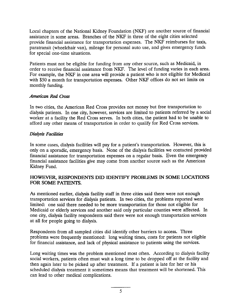Local chapters of the National Kidney Foundation (NKF) are another source of financial assistance in some areas. Branches of the NKF in three of the eight cities selected provide financial assistance for transportation expenses. The NKF reimburses for taxis, paratransit (wheelchair van), mileage for personal auto use, and gives emergency funds for special one-time situations.

Patients must not be eligible for funding from any other source, such as Medicaid, in order to receive financial assistance from NKF. The level of funding varies in each area. For example, the NKF in one area will provide a patient who is not eligible for Medicaid with \$50 a month for transportation expenses. Other NKF offices do not set limits on monthly funding.

#### *American Red Cress*

In two cities, the American Red Cross provides not money but free transportation to dialysis patients. In one city, however, services are limited to patients referred by a social worker at a facility the Red Cross serves. In both cities, the patient had to be unable to afford any other means of transportation in order to qualify for Red Cross services.

#### **Dialysis Facilities**

In some cases, dialysis facilities will pay for a patient's transportation. However, this is only on a sporadic, emergency basis. None of the dialysis facilities we contacted provided financial assistance for transportation expenses on a regular basis. Even the emergency financial assistance facilities give may come from another source such as the American Kidney Fund.

#### HOWEVER, RESPONDENTS DID IDENTIFY PROBLEMS IN SOME LOCATIONS **FOR SOME PATIENTS.**

As mentioned earlier, dialysis facility staff in three cities said there were not enough transportation services for dialysis patients. In two cities, the problems reported were limited: one said there needed to be more transportation for those not eligible for Medicaid or elderly services and another said only particular counties were affected. In one city, dialysis facility respondents said there were not enough transportation services at all for people going to dialysis.

Respondents from all sampled cities did identify other barriers to access. Three problems were frequently mentioned: long waiting times, costs for patients not eligible for financial assistance, and lack of physical assistance to patients using the services.

Long waiting times was the problem mentioned most often. According to dialysis facility social workers, patients often must wait a long time to be dropped off at the facility and then again later to be picked up after treatment. If a patient is late for her or his scheduled dialysis treatment it sometimes means that treatment will be shortened. This can lead to other medical complications.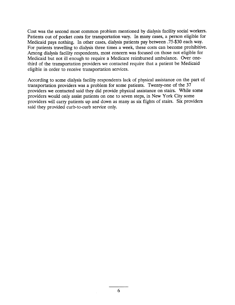Cost was the second most common problem mentioned by dialysis facility social workers. Patients out of pocket costs for transportation vary. In many cases, a person eligible for Medicaid pays nothing. In other cases, dialysis patients pay between .75-\$30 each way. For patients traveling to dialysis three times a week, these costs can become prohibitive. Among dialysis facility respondents, most concern was focused on those not eligible for Medicaid but not ill enough to require a Medicare reimbursed ambulance. Over onethird of the transportation providers we contacted require that a patient be Medicaid eligible in order to receive transportation services.

According to some dialysis facility respondents lack of physical assistance on the part of transportation providers was a problem for some patients. Twenty-one of the 37 providers we contacted said they did provide physical assistance on stairs. While some providers would only assist patients on one to seven steps, in New York City some providers will carry patients up and down as many as six flights of stairs. Six providers said they provided curb-to-curb service only.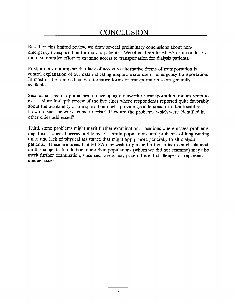### **CONCLUSION**

Based on this limited review, we draw several preliminary conclusions about nonemergency transportation for dialysis patients. We offer these to HCFA as it conducts a more substantive effort to examine access to transportation for dialysis patients.

First, it does not appear that lack of access to alternative forms of transportation is a central explanation of our data indicating inappropriate use of emergency transportation. In most of the sampled cities, alternative forms of transportation seem generally available.

Second, successful approaches to developing a network of transportation options seem to exist. More in-depth review of the five cities where respondents reported quite favorably about the availability of transportation might provide good lessons for other localities. How did such networks come to exist? How are the problems which were identified in other cities addressed?

Third, some problems might merit further examination: locations where access problems might exist, special access problems for certain populations, and problems of long waiting times and lack of physical assistance that might apply more generally to all dialysis patients. These are areas that HCFA may wish to pursue further in its research planned on this subject. In addition, non-urban populations (whom we did not examine) may also merit further examination, since such areas may pose different challenges or represent unique issues.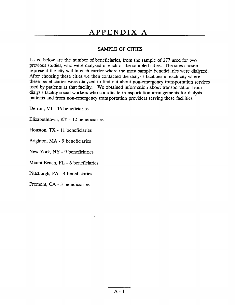## **APPENDIX A**

#### SAMPLE **OF CITIES**

Listed below are the number of beneficiaries, from the sample of 277 used for two previous studies, who were dialyzed in each of the sampled cities. The sites chosen represent the city within each carrier where the most sample beneficiaries were dialyzed. After choosing these cities we then contacted the dialysis facilities in each city where these beneficiaries were dialyzed to find out about non-emergency transportation services used by patients at that facility. We obtained information about transportation from dialysis facility social workers who coordinate transportation arrangements for dialysis patients and from non-emergency transportation providers serving these facilities.

Detroit, MI -16 beneficiaries

Elizabethtown, KY -12 beneficiaries

Houston, TX -11 beneficiaries

Brighton, MA - 9 beneficiaries

New York, NY -9 beneficiaries

Miami Beach, FL - 6 beneficiaries

Pittsburgh, PA - 4 beneficiaries

Fremont, CA - 3 beneficiaries